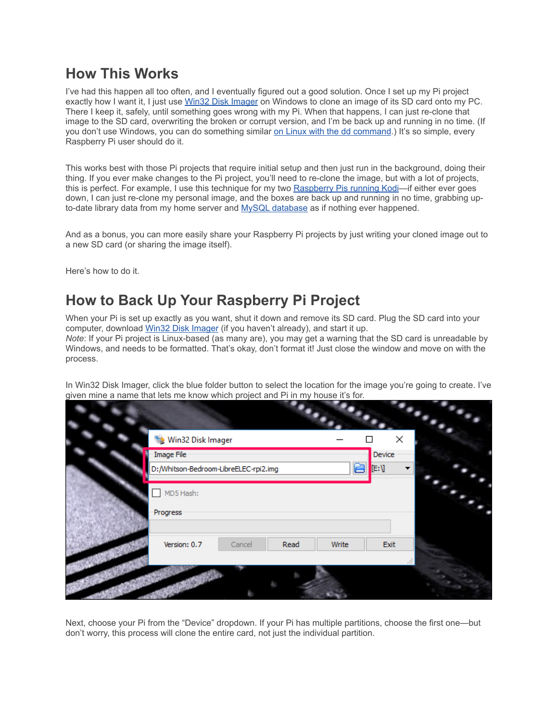## **How This Works**

I've had this happen all too often, and I eventually figured out a good solution. Once I set up my Pi project exactly how I want it, I just use [Win32 Disk Imager](https://sourceforge.net/projects/win32diskimager/) on Windows to clone an image of its SD card onto my PC. There I keep it, safely, until something goes wrong with my Pi. When that happens, I can just re-clone that image to the SD card, overwriting the broken or corrupt version, and I'm be back up and running in no time. (If you don't use Windows, you can do something similar [on Linux with the dd command.](https://www.raspberrypi.org/forums/viewtopic.php?t=46911)) It's so simple, every Raspberry Pi user should do it.

This works best with those Pi projects that require initial setup and then just run in the background, doing their thing. If you ever make changes to the Pi project, you'll need to re-clone the image, but with a lot of projects, this is perfect. For example, I use this technique for my two [Raspberry Pis running Kodi—](https://www.howtogeek.com/163541/build-a-35-media-center-with-raspbmc-and-raspberry-pi-redux/)if either ever goes down, I can just re-clone my personal image, and the boxes are back up and running in no time, grabbing up-to-date library data from my home server and [MySQL database](https://www.howtogeek.com/75535/how-to-sync-your-media-across-your-entire-house-with-xbmc/) as if nothing ever happened.

And as a bonus, you can more easily share your Raspberry Pi projects by just writing your cloned image out to a new SD card (or sharing the image itself).

Here's how to do it.

## **How to Back Up Your Raspberry Pi Project**

When your Pi is set up exactly as you want, shut it down and remove its SD card. Plug the SD card into your computer, download [Win32 Disk Imager](https://sourceforge.net/projects/win32diskimager/) (if you haven't already), and start it up. *Note*: If your Pi project is Linux-based (as many are), you may get a warning that the SD card is unreadable by Windows, and needs to be formatted. That's okay, don't format it! Just close the window and move on with the process.

In Win32 Disk Imager, click the blue folder button to select the location for the image you're going to create. I've given mine a name that lets me know which project and Pi in my house it's for.

| Win32 Disk Imager                                        | ×                    |
|----------------------------------------------------------|----------------------|
| Image File<br>D:/Whitson-Bedroom-LibreELEC-rpi2.img<br>م | Device<br><b>E:V</b> |
| MD5 Hash:                                                |                      |
| Progress                                                 |                      |
| Version: 0.7<br>Read<br>Cancel<br>Write                  | Exit<br>$-11$        |
|                                                          |                      |

Next, choose your Pi from the "Device" dropdown. If your Pi has multiple partitions, choose the first one—but don't worry, this process will clone the entire card, not just the individual partition.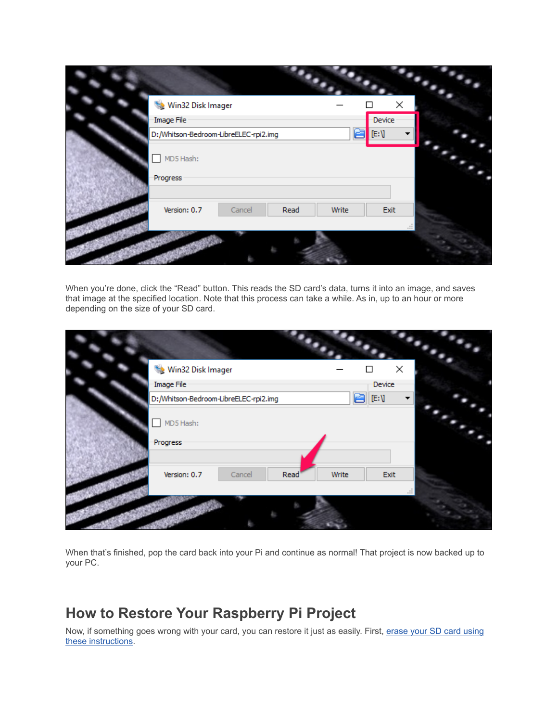| Win32 Disk Imager                                 | ×    |
|---------------------------------------------------|------|
| Device<br>Image File                              |      |
| E:V<br>D:/Whitson-Bedroom-LibreELEC-rpi2.img<br>ت |      |
| MD5 Hash:                                         |      |
| Progress                                          |      |
| Version: 0.7<br>Read<br>Write<br>Cancel           | Exit |
|                                                   |      |

When you're done, click the "Read" button. This reads the SD card's data, turns it into an image, and saves that image at the specified location. Note that this process can take a while. As in, up to an hour or more depending on the size of your SD card.

| Win32 Disk Imager                     |               | $\times$                           |  |
|---------------------------------------|---------------|------------------------------------|--|
| Image File                            |               | Device                             |  |
| D:/Whitson-Bedroom-LibreELEC-rpi2.img |               | $[\mathsf{E}\mathsf{:}\mathsf{V}]$ |  |
| MD5 Hash:                             |               |                                    |  |
| Progress                              |               |                                    |  |
|                                       |               |                                    |  |
| Version: 0.7<br>Cancel                | Read<br>Write | Exit                               |  |
|                                       |               |                                    |  |
|                                       |               |                                    |  |

When that's finished, pop the card back into your Pi and continue as normal! That project is now backed up to your PC.

## **How to Restore Your Raspberry Pi Project**

Now, if something goes wrong with your card, you can restore it just as easily. First, erase your SD card using [these instructions.](https://www.howtogeek.com/170794/ask-htg-how-can-i-reclaim-the-full-capacity-of-an-sd-card/)